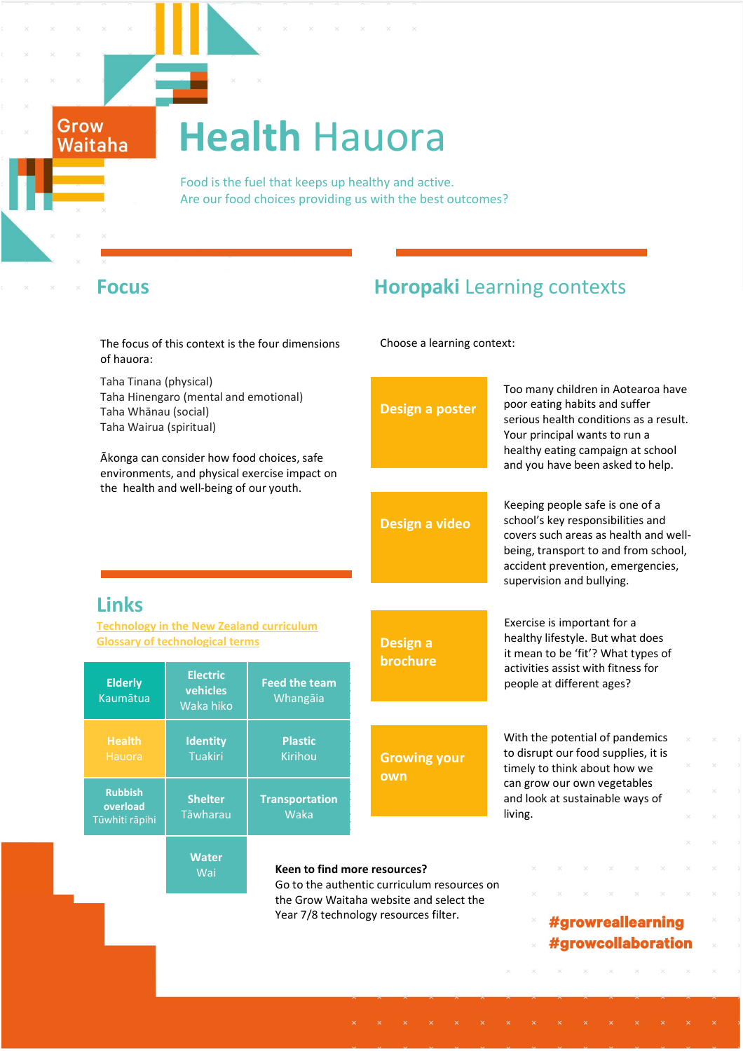# **Health** Hauora

 Food is the fuel that keeps up healthy and active. Are our food choices providing us with the best outcomes?

Grow<br>Waitaha

# Focus **Horopaki** Learning contexts

| The focus of this context is the four dimensions<br>of hauora:                                                                         |                                          |                                                                             | Choose a learning context:                                                       |                                                                                                                                                                                                                         |
|----------------------------------------------------------------------------------------------------------------------------------------|------------------------------------------|-----------------------------------------------------------------------------|----------------------------------------------------------------------------------|-------------------------------------------------------------------------------------------------------------------------------------------------------------------------------------------------------------------------|
| Taha Tinana (physical)<br>Taha Hinengaro (mental and emotional)<br>Taha Whānau (social)<br>Taha Wairua (spiritual)                     |                                          |                                                                             | <b>Design a poster</b>                                                           | Too many children in Aotearoa have<br>poor eating habits and suffer<br>serious health conditions as a result.<br>Your principal wants to run a                                                                          |
| Ākonga can consider how food choices, safe<br>environments, and physical exercise impact on<br>the health and well-being of our youth. |                                          |                                                                             |                                                                                  | healthy eating campaign at school<br>and you have been asked to help.                                                                                                                                                   |
|                                                                                                                                        |                                          |                                                                             | Design a video                                                                   | Keeping people safe is one of a<br>school's key responsibilities and<br>covers such areas as health and well-<br>being, transport to and from school,<br>accident prevention, emergencies,<br>supervision and bullying. |
| <b>Links</b>                                                                                                                           |                                          |                                                                             |                                                                                  |                                                                                                                                                                                                                         |
| <b>Technology in the New Zealand curriculum</b><br><b>Glossary of technological terms</b>                                              |                                          |                                                                             | Design a<br>brochure                                                             | Exercise is important for a<br>healthy lifestyle. But what does<br>it mean to be 'fit'? What types of                                                                                                                   |
| <b>Elderly</b><br>Kaumātua                                                                                                             | <b>Electric</b><br>vehicles<br>Waka hiko | <b>Feed the team</b><br>Whangāia                                            |                                                                                  | activities assist with fitness for<br>people at different ages?                                                                                                                                                         |
| <b>Health</b><br>Hauora                                                                                                                | <b>Identity</b><br><b>Tuakiri</b>        | <b>Plastic</b><br>Kirihou                                                   | <b>Growing your</b><br>own                                                       | With the potential of pandemics<br>to disrupt our food supplies, it is<br>timely to think about how we<br>can grow our own vegetables<br>and look at sustainable ways of<br>living.                                     |
| <b>Rubbish</b><br>overload<br>Tūwhiti rāpihi                                                                                           | <b>Shelter</b><br>Tāwharau               | <b>Transportation</b><br>Waka                                               |                                                                                  |                                                                                                                                                                                                                         |
|                                                                                                                                        | <b>Water</b><br>Wai                      | Keen to find more resources?<br>Go to the authentic curriculum resources on |                                                                                  |                                                                                                                                                                                                                         |
|                                                                                                                                        |                                          |                                                                             | the Grow Waitaha website and select the<br>Year 7/8 technology resources filter. | #growreallearning<br>#growcollaboration                                                                                                                                                                                 |
|                                                                                                                                        |                                          |                                                                             |                                                                                  |                                                                                                                                                                                                                         |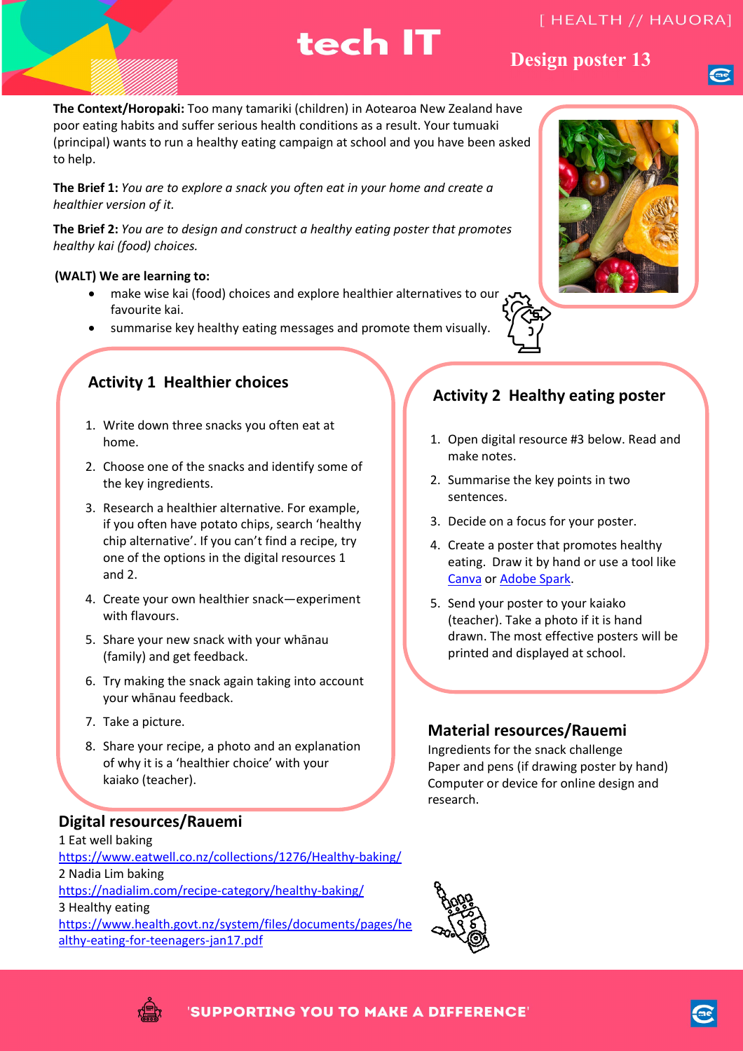# tech IT

### **Design poster 13 Design poster 13**

**The Context/Horopaki:** Too many tamariki (children) in Aotearoa New Zealand have poor eating habits and suffer serious health conditions as a result. Your tumuaki (principal) wants to run a healthy eating campaign at school and you have been asked to help.

**The Brief 1:** *You are to explore a snack you often eat in your home and create a healthier version of it.*

**The Brief 2:** *You are to design and construct a healthy eating poster that promotes healthy kai (food) choices.*

### **(WALT) We are learning to:**

- make wise kai (food) choices and explore healthier alternatives to our favourite kai.
- summarise key healthy eating messages and promote them visually.

# **Activity 1 Healthier choices**

- 1. Write down three snacks you often eat at home.
- 2. Choose one of the snacks and identify some of the key ingredients.
- 3. Research a healthier alternative. For example, if you often have potato chips, search 'healthy chip alternative'. If you can't find a recipe, try one of the options in the digital resources 1 and 2.
- 4. Create your own healthier snack—experiment with flavours.
- 5. Share your new snack with your whānau (family) and get feedback.
- 6. Try making the snack again taking into account your whānau feedback.
- 7. Take a picture.
- 8. Share your recipe, a photo and an explanation of why it is a 'healthier choice' with your kaiako (teacher).

### **Digital resources/Rauemi**

1 Eat well baking <https://www.eatwell.co.nz/collections/1276/Healthy-baking/> 2 Nadia Lim baking <https://nadialim.com/recipe-category/healthy-baking/> 3 Healthy eating [https://www.health.govt.nz/system/files/documents/pages/he](https://www.health.govt.nz/system/files/documents/pages/healthy-eating-for-teenagers-jan17.pdf) [althy-eating-for-teenagers-jan17.pdf](https://www.health.govt.nz/system/files/documents/pages/healthy-eating-for-teenagers-jan17.pdf)





- 1. Open digital resource #3 below. Read and make notes.
- 2. Summarise the key points in two sentences.
- 3. Decide on a focus for your poster.
- 4. Create a poster that promotes healthy eating. Draw it by hand or use a tool like [Canva](https://www.canva.com/) or [Adobe Spark.](https://spark.adobe.com/)
- 5. Send your poster to your kaiako (teacher). Take a photo if it is hand drawn. The most effective posters will be printed and displayed at school.

### **Material resources/Rauemi**

Ingredients for the snack challenge Paper and pens (if drawing poster by hand) Computer or device for online design and research.





'SUPPORTING YOU TO MAKE A DIFFERENCE'

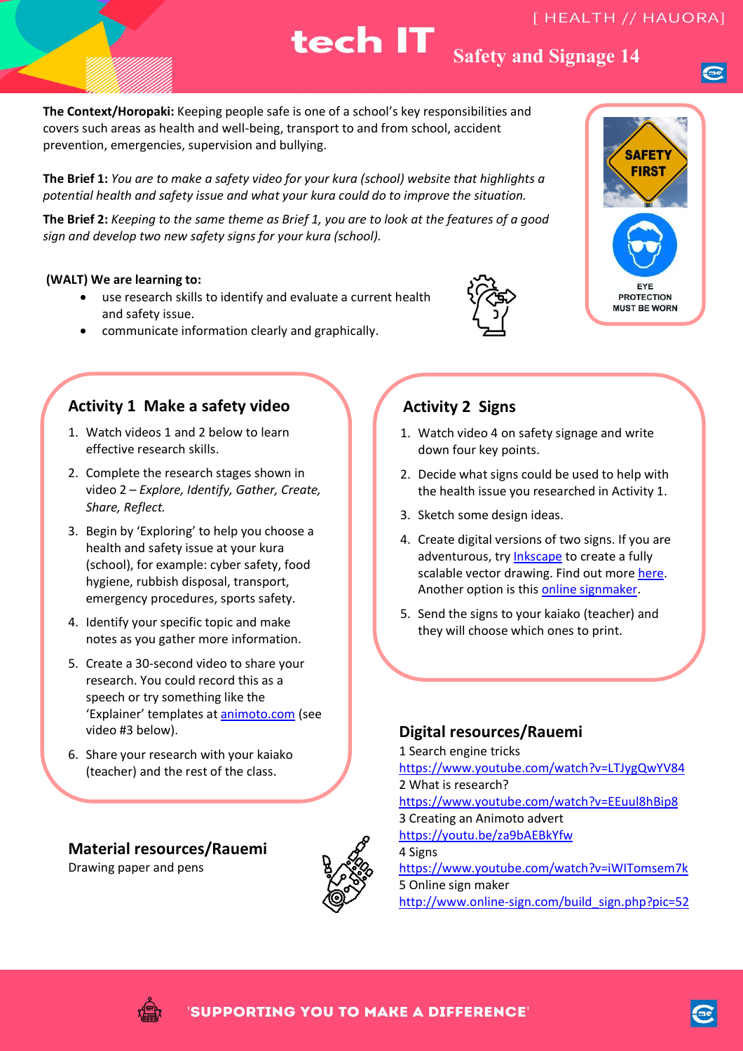### tech IT **Safety and Signage 14**

**The Context/Horopaki:** Keeping people safe is one of a school's key responsibilities and covers such areas as health and well-being, transport to and from school, accident prevention, emergencies, supervision and bullying.

**The Brief 1:** *You are to make a safety video for your kura (school) website that highlights a potential health and safety issue and what your kura could do to improve the situation.*

**The Brief 2:** *Keeping to the same theme as Brief 1, you are to look at the features of a good sign and develop two new safety signs for your kura (school).* 

#### **(WALT) We are learning to:**

- use research skills to identify and evaluate a current health and safety issue.
- communicate information clearly and graphically.

### **Activity 1 Make a safety video**

- 1. Watch videos 1 and 2 below to learn effective research skills.
- 2. Complete the research stages shown in video 2 – *Explore, Identify, Gather, Create, Share, Reflect.*
- 3. Begin by 'Exploring' to help you choose a health and safety issue at your kura (school), for example: cyber safety, food hygiene, rubbish disposal, transport, emergency procedures, sports safety.
- 4. Identify your specific topic and make notes as you gather more information.
- 5. Create a 30-second video to share your research. You could record this as a speech or try something like the 'Explainer' templates at [animoto.com](https://animoto.com/) (see video #3 below).
- 6. Share your research with your kaiako (teacher) and the rest of the class.

### **Material resources/Rauemi**

Drawing paper and pens





### **Activity 2 Signs**

- 1. Watch video 4 on safety signage and write down four key points.
- 2. Decide what signs could be used to help with the health issue you researched in Activity 1.
- 3. Sketch some design ideas.
- 4. Create digital versions of two signs. If you are adventurous, try [Inkscape](https://inkscape.org/) to create a fully scalable vector drawing. Find out more [here.](https://www.youtube.com/watch?v=8f011wdiW7g) Another option is this [online signmaker.](http://www.online-sign.com/build_sign.php?pic=52)
- 5. Send the signs to your kaiako (teacher) and they will choose which ones to print.

### **Digital resources/Rauemi**

1 Search engine tricks <https://www.youtube.com/watch?v=LTJygQwYV84> 2 What is research? <https://www.youtube.com/watch?v=EEuul8hBip8> 3 Creating an Animoto advert <https://youtu.be/za9bAEBkYfw> 4 Signs <https://www.youtube.com/watch?v=iWITomsem7k> 5 Online sign maker [http://www.online-sign.com/build\\_sign.php?pic=52](http://www.online-sign.com/build_sign.php?pic=52)



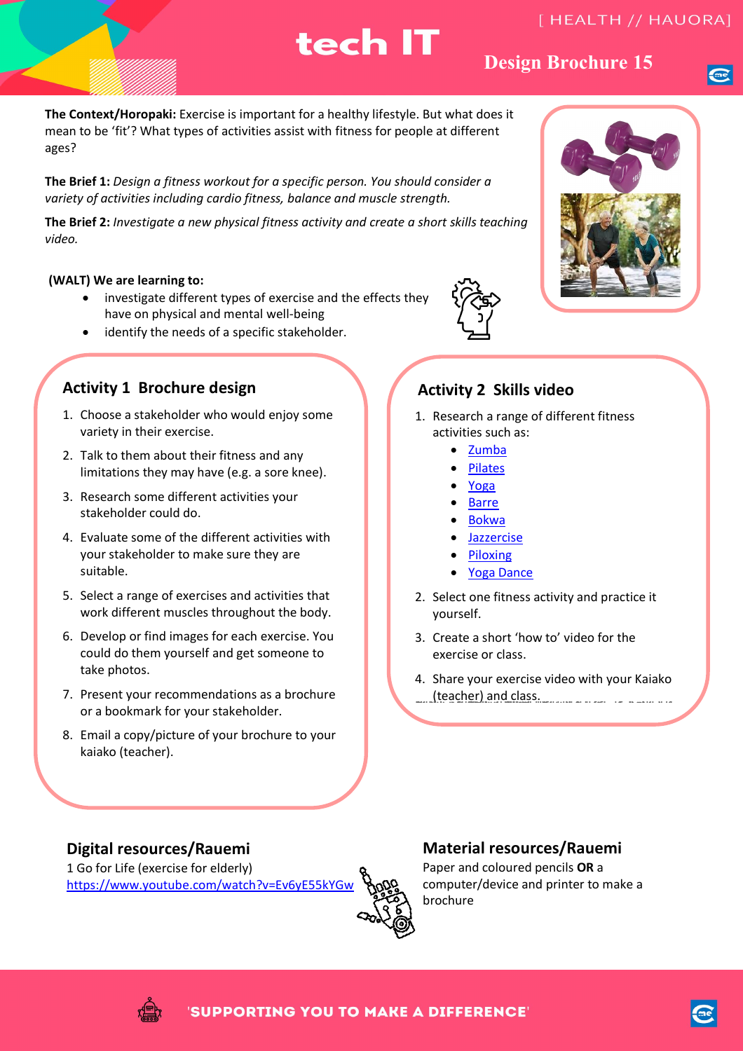# tech IT

# **Design brochure 15 Design Brochure 15**

**The Context/Horopaki:** Exercise is important for a healthy lifestyle. But what does it mean to be 'fit'? What types of activities assist with fitness for people at different ages?

**The Brief 1:** *Design a fitness workout for a specific person. You should consider a variety of activities including cardio fitness, balance and muscle strength.*

**The Brief 2:** *Investigate a new physical fitness activity and create a short skills teaching video.*

### **(WALT) We are learning to:**

- investigate different types of exercise and the effects they have on physical and mental well-being
- identify the needs of a specific stakeholder.

### **Activity 1 Brochure design**

- 1. Choose a stakeholder who would enjoy some variety in their exercise.
- 2. Talk to them about their fitness and any limitations they may have (e.g. a sore knee).
- 3. Research some different activities your stakeholder could do.
- 4. Evaluate some of the different activities with your stakeholder to make sure they are suitable.
- 5. Select a range of exercises and activities that work different muscles throughout the body.
- 6. Develop or find images for each exercise. You could do them yourself and get someone to take photos.
- 7. Present your recommendations as a brochure or a bookmark for your stakeholder.
- 8. Email a copy/picture of your brochure to your kaiako (teacher).

### **Activity 2 Skills video**

- 1. Research a range of different fitness activities such as:
	- [Zumba](https://www.youtube.com/watch?v=OXbmCCUIaWg)
	- [Pilates](https://www.youtube.com/watch?v=bgzPkvRQnro)
	- [Yoga](https://youtu.be/XAS21SemBAo)
	- [Barre](https://youtu.be/lVGaNwBz91E)
	- [Bokwa](https://youtu.be/xd0L_TY-uFQ)
	- [Jazzercise](https://youtu.be/phJokpMsXKg)
	- [Piloxing](https://youtu.be/rsVyVGSilVY)
	- [Yoga Dance](https://youtu.be/n1KHgvSEVhc)
- 2. Select one fitness activity and practice it yourself.
- 3. Create a short 'how to' video for the exercise or class.
- 4. Share your exercise video with your Kaiako (teacher) and class. angerachetet in die radioalenie net dan benigning "recomperations are as a mample" - cap - an invester in capt<br>.

### **Digital resources/Rauemi**

1 Go for Life (exercise for elderly) <https://www.youtube.com/watch?v=Ev6yE55kYGw>



### **Material resources/Rauemi**

Paper and coloured pencils **OR** a computer/device and printer to make a brochure